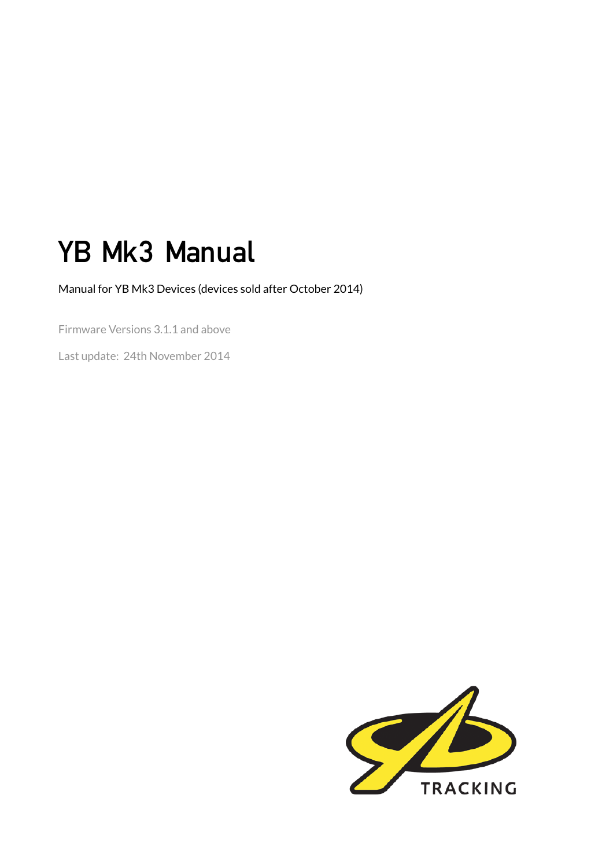# YB Mk3 Manual

Manual for YB Mk3 Devices (devices sold after October 2014)

Firmware Versions 3.1.1 and above

Last update: 24th November 2014

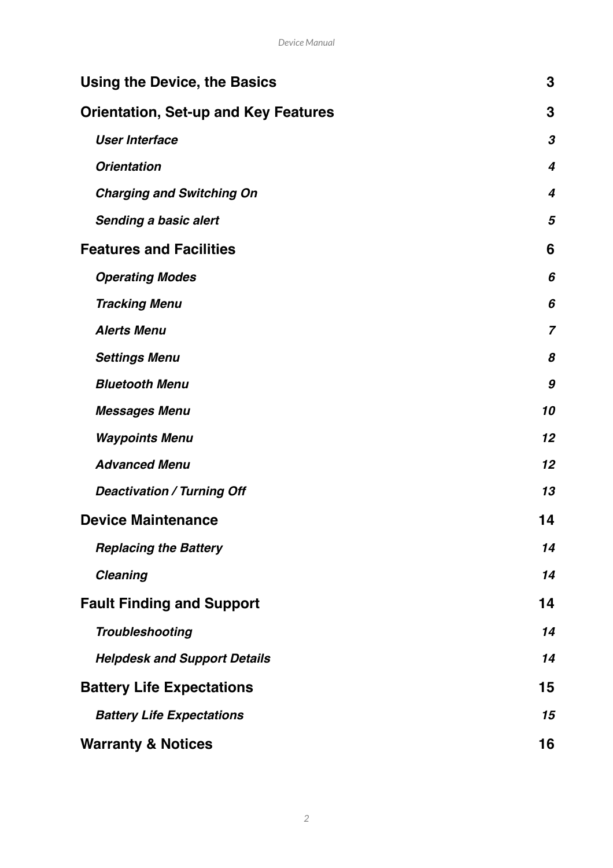| <b>Using the Device, the Basics</b>         | 3                       |
|---------------------------------------------|-------------------------|
| <b>Orientation, Set-up and Key Features</b> | 3                       |
| <b>User Interface</b>                       | 3                       |
| <b>Orientation</b>                          | $\overline{\mathbf{4}}$ |
| <b>Charging and Switching On</b>            | $\overline{4}$          |
| <b>Sending a basic alert</b>                | 5                       |
| <b>Features and Facilities</b>              | 6                       |
| <b>Operating Modes</b>                      | 6                       |
| <b>Tracking Menu</b>                        | 6                       |
| <b>Alerts Menu</b>                          | $\overline{7}$          |
| <b>Settings Menu</b>                        | 8                       |
| <b>Bluetooth Menu</b>                       | 9                       |
| <b>Messages Menu</b>                        | 10                      |
| <b>Waypoints Menu</b>                       | 12                      |
| <b>Advanced Menu</b>                        | 12                      |
| <b>Deactivation / Turning Off</b>           | 13                      |
| <b>Device Maintenance</b>                   | 14                      |
| <b>Replacing the Battery</b>                |                         |
| <b>Cleaning</b>                             | 14                      |
| <b>Fault Finding and Support</b>            | 14                      |
| <b>Troubleshooting</b>                      | 14                      |
| <b>Helpdesk and Support Details</b>         | 14                      |
| <b>Battery Life Expectations</b>            |                         |
| <b>Battery Life Expectations</b>            |                         |
| <b>Warranty &amp; Notices</b>               | 16                      |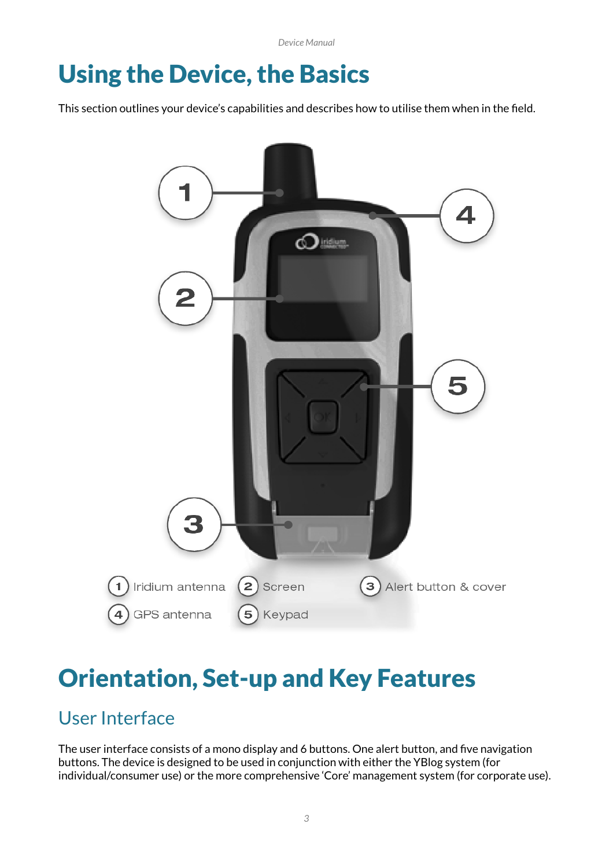*Device Manual*

# Using the Device, the Basics

This section outlines your device's capabilities and describes how to utilise them when in the field.



# Orientation, Set-up and Key Features

# User Interface

The user interface consists of a mono display and 6 buttons. One alert button, and five navigation buttons. The device is designed to be used in conjunction with either the YBlog system (for individual/consumer use) or the more comprehensive 'Core' management system (for corporate use).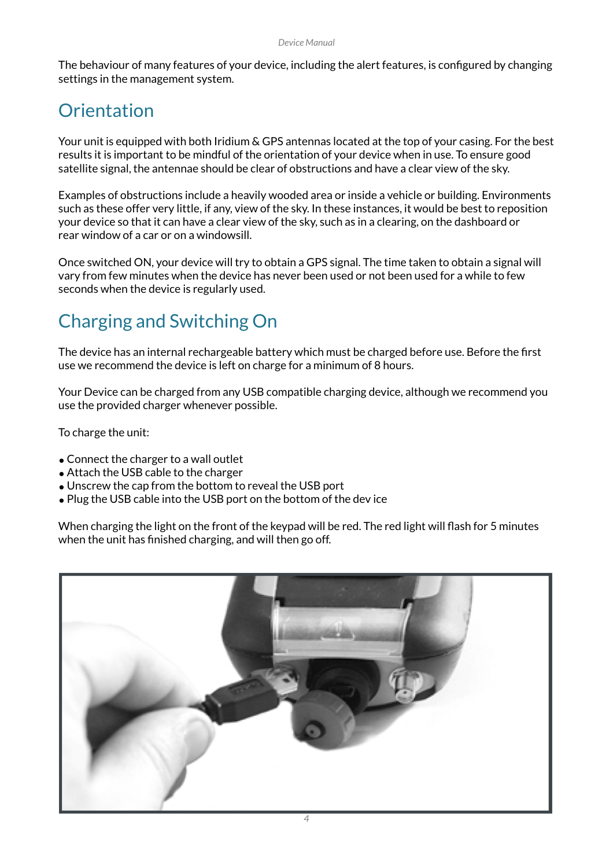The behaviour of many features of your device, including the alert features, is configured by changing settings in the management system.

# **Orientation**

Your unit is equipped with both Iridium & GPS antennas located at the top of your casing. For the best results it is important to be mindful of the orientation of your device when in use. To ensure good satellite signal, the antennae should be clear of obstructions and have a clear view of the sky.

Examples of obstructions include a heavily wooded area or inside a vehicle or building. Environments such as these offer very little, if any, view of the sky. In these instances, it would be best to reposition your device so that it can have a clear view of the sky, such as in a clearing, on the dashboard or rear window of a car or on a windowsill.

Once switched ON, your device will try to obtain a GPS signal. The time taken to obtain a signal will vary from few minutes when the device has never been used or not been used for a while to few seconds when the device is regularly used.

# Charging and Switching On

The device has an internal rechargeable battery which must be charged before use. Before the first use we recommend the device is left on charge for a minimum of 8 hours.

Your Device can be charged from any USB compatible charging device, although we recommend you use the provided charger whenever possible.

To charge the unit:

- •Connect the charger to a wall outlet
- Attach the USB cable to the charger
- Unscrew the cap from the bottom to reveal the USB port
- Plug the USB cable into the USB port on the bottom of the dev ice

When charging the light on the front of the keypad will be red. The red light will flash for 5 minutes when the unit has finished charging, and will then go off.

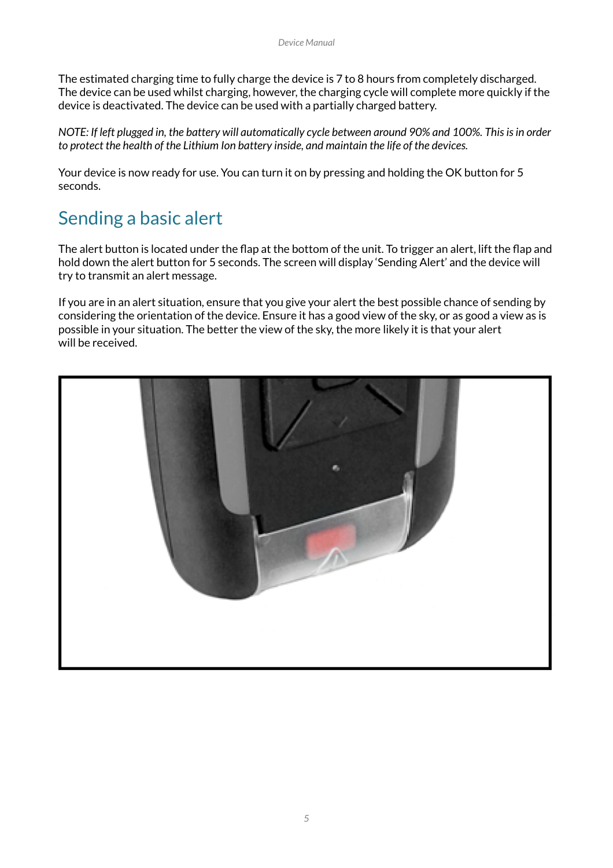The estimated charging time to fully charge the device is 7 to 8 hours from completely discharged. The device can be used whilst charging, however, the charging cycle will complete more quickly if the device is deactivated. The device can be used with a partially charged battery.

*NOTE: If left plugged in, the battery will automatically cycle between around 90% and 100%. This is in order to protect the health of the Lithium Ion battery inside, and maintain the life of the devices.* 

Your device is now ready for use. You can turn it on by pressing and holding the OK button for 5 seconds.

## Sending a basic alert

The alert button is located under the flap at the bottom of the unit. To trigger an alert, lift the flap and hold down the alert button for 5 seconds. The screen will display 'Sending Alert' and the device will try to transmit an alert message.

If you are in an alert situation, ensure that you give your alert the best possible chance of sending by considering the orientation of the device. Ensure it has a good view of the sky, or as good a view as is possible in your situation. The better the view of the sky, the more likely it is that your alert will be received.

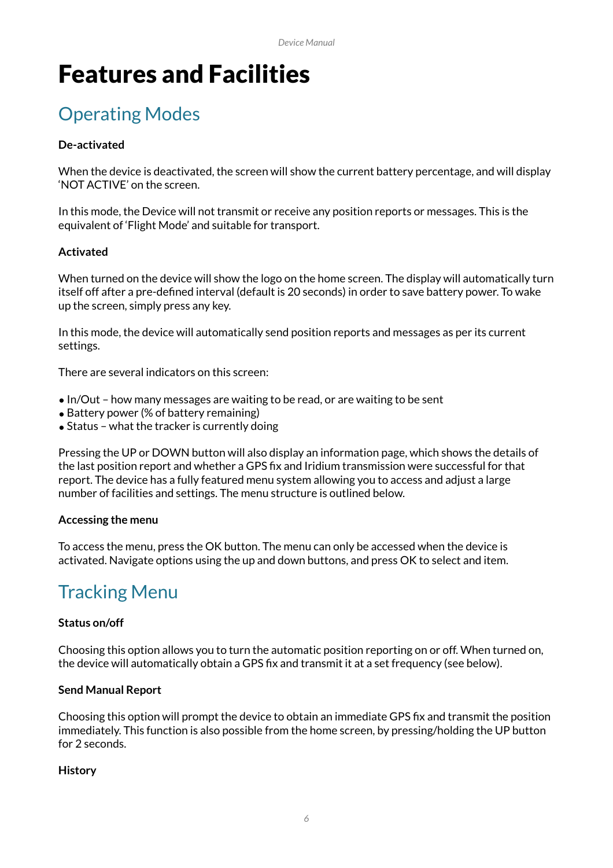# Features and Facilities

# Operating Modes

### **De-activated**

When the device is deactivated, the screen will show the current battery percentage, and will display 'NOT ACTIVE' on the screen.

In this mode, the Device will not transmit or receive any position reports or messages. This is the equivalent of 'Flight Mode' and suitable for transport.

### **Activated**

When turned on the device will show the logo on the home screen. The display will automatically turn itself off after a pre-defined interval (default is 20 seconds) in order to save battery power. To wake up the screen, simply press any key.

In this mode, the device will automatically send position reports and messages as per its current settings.

There are several indicators on this screen:

- In/Out how many messages are waiting to be read, or are waiting to be sent
- Battery power (% of battery remaining)
- Status what the tracker is currently doing

Pressing the UP or DOWN button will also display an information page, which shows the details of the last position report and whether a GPS fix and Iridium transmission were successful for that report. The device has a fully featured menu system allowing you to access and adjust a large number of facilities and settings. The menu structure is outlined below.

### **Accessing the menu**

To access the menu, press the OK button. The menu can only be accessed when the device is activated. Navigate options using the up and down buttons, and press OK to select and item.

# Tracking Menu

### **Status on/off**

Choosing this option allows you to turn the automatic position reporting on or off. When turned on, the device will automatically obtain a GPS fix and transmit it at a set frequency (see below).

### **Send Manual Report**

Choosing this option will prompt the device to obtain an immediate GPS fix and transmit the position immediately. This function is also possible from the home screen, by pressing/holding the UP button for 2 seconds.

### **History**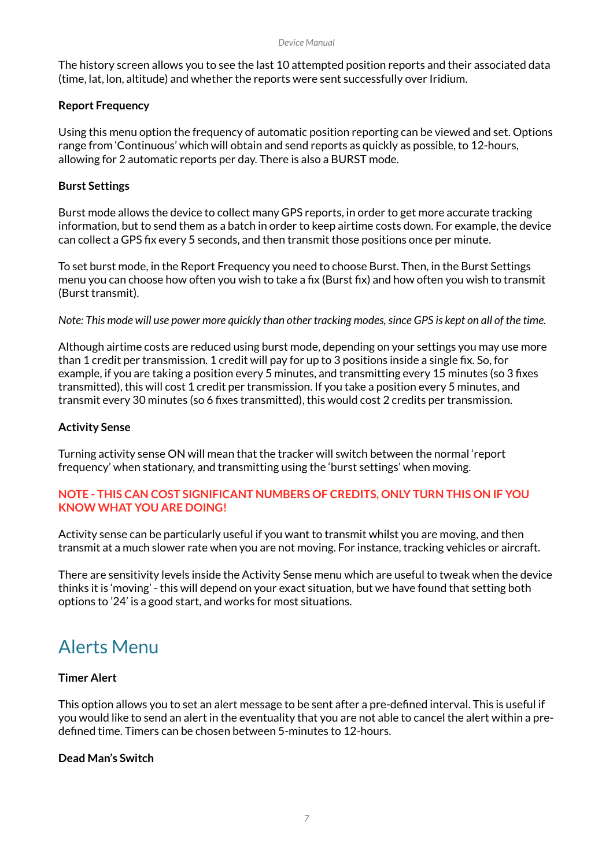The history screen allows you to see the last 10 attempted position reports and their associated data (time, lat, lon, altitude) and whether the reports were sent successfully over Iridium.

### **Report Frequency**

Using this menu option the frequency of automatic position reporting can be viewed and set. Options range from 'Continuous' which will obtain and send reports as quickly as possible, to 12-hours, allowing for 2 automatic reports per day. There is also a BURST mode.

### **Burst Settings**

Burst mode allows the device to collect many GPS reports, in order to get more accurate tracking information, but to send them as a batch in order to keep airtime costs down. For example, the device can collect a GPS fix every 5 seconds, and then transmit those positions once per minute.

To set burst mode, in the Report Frequency you need to choose Burst. Then, in the Burst Settings menu you can choose how often you wish to take a fix (Burst fix) and how often you wish to transmit (Burst transmit).

*Note: This mode will use power more quickly than other tracking modes, since GPS is kept on all of the time.*

Although airtime costs are reduced using burst mode, depending on your settings you may use more than 1 credit per transmission. 1 credit will pay for up to 3 positions inside a single fix. So, for example, if you are taking a position every 5 minutes, and transmitting every 15 minutes (so 3 fixes transmitted), this will cost 1 credit per transmission. If you take a position every 5 minutes, and transmit every 30 minutes (so 6 fixes transmitted), this would cost 2 credits per transmission.

### **Activity Sense**

Turning activity sense ON will mean that the tracker will switch between the normal 'report frequency' when stationary, and transmitting using the 'burst settings' when moving.

### **NOTE - THIS CAN COST SIGNIFICANT NUMBERS OF CREDITS, ONLY TURN THIS ON IF YOU KNOW WHAT YOU ARE DOING!**

Activity sense can be particularly useful if you want to transmit whilst you are moving, and then transmit at a much slower rate when you are not moving. For instance, tracking vehicles or aircraft.

There are sensitivity levels inside the Activity Sense menu which are useful to tweak when the device thinks it is 'moving' - this will depend on your exact situation, but we have found that setting both options to '24' is a good start, and works for most situations.

### Alerts Menu

### **Timer Alert**

This option allows you to set an alert message to be sent after a pre-defined interval. This is useful if you would like to send an alert in the eventuality that you are not able to cancel the alert within a predefined time. Timers can be chosen between 5-minutes to 12-hours.

### **Dead Man's Switch**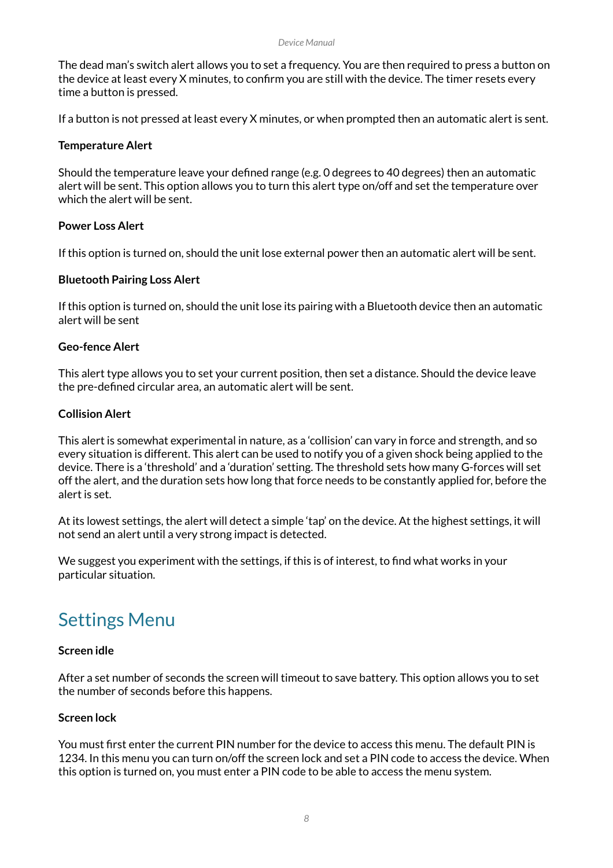#### *Device Manual*

The dead man's switch alert allows you to set a frequency. You are then required to press a button on the device at least every X minutes, to confirm you are still with the device. The timer resets every time a button is pressed.

If a button is not pressed at least every X minutes, or when prompted then an automatic alert is sent.

### **Temperature Alert**

Should the temperature leave your defined range (e.g. 0 degrees to 40 degrees) then an automatic alert will be sent. This option allows you to turn this alert type on/off and set the temperature over which the alert will be sent.

### **Power Loss Alert**

If this option is turned on, should the unit lose external power then an automatic alert will be sent.

### **Bluetooth Pairing Loss Alert**

If this option is turned on, should the unit lose its pairing with a Bluetooth device then an automatic alert will be sent

### **Geo-fence Alert**

This alert type allows you to set your current position, then set a distance. Should the device leave the pre-defined circular area, an automatic alert will be sent.

### **Collision Alert**

This alert is somewhat experimental in nature, as a 'collision' can vary in force and strength, and so every situation is different. This alert can be used to notify you of a given shock being applied to the device. There is a 'threshold' and a 'duration' setting. The threshold sets how many G-forces will set off the alert, and the duration sets how long that force needs to be constantly applied for, before the alert is set.

At its lowest settings, the alert will detect a simple 'tap' on the device. At the highest settings, it will not send an alert until a very strong impact is detected.

We suggest you experiment with the settings, if this is of interest, to find what works in your particular situation.

### Settings Menu

#### **Screen idle**

After a set number of seconds the screen will timeout to save battery. This option allows you to set the number of seconds before this happens.

### **Screen lock**

You must first enter the current PIN number for the device to access this menu. The default PIN is 1234. In this menu you can turn on/off the screen lock and set a PIN code to access the device. When this option is turned on, you must enter a PIN code to be able to access the menu system.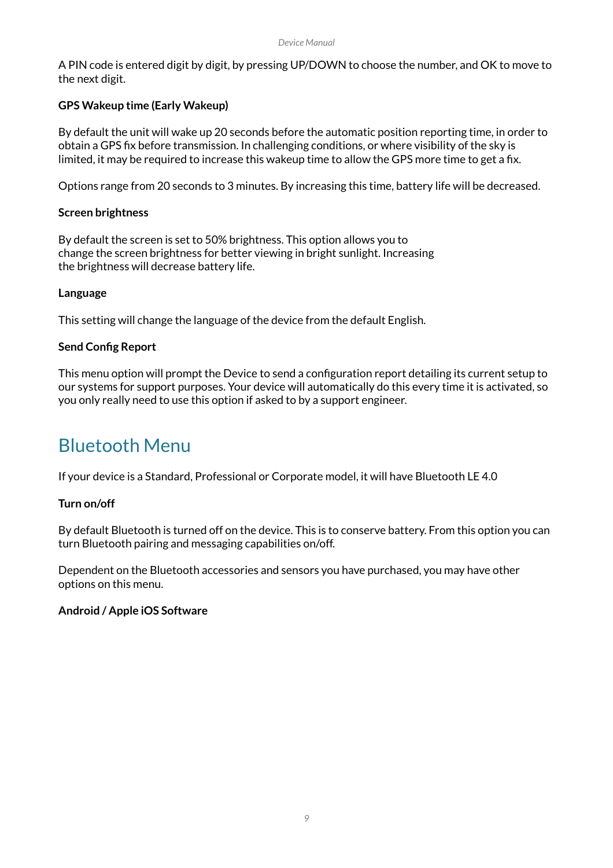A PIN code is entered digit by digit, by pressing UP/DOWN to choose the number, and OK to move to the next digit.

### **GPS Wakeup time (Early Wakeup)**

By default the unit will wake up 20 seconds before the automatic position reporting time, in order to obtain a GPS fix before transmission. In challenging conditions, or where visibility of the sky is limited, it may be required to increase this wakeup time to allow the GPS more time to get a fix.

Options range from 20 seconds to 3 minutes. By increasing this time, battery life will be decreased.

### **Screen brightness**

By default the screen is set to 50% brightness. This option allows you to change the screen brightness for better viewing in bright sunlight. Increasing the brightness will decrease battery life.

### **Language**

This setting will change the language of the device from the default English.

### **Send Config Report**

This menu option will prompt the Device to send a configuration report detailing its current setup to our systems for support purposes. Your device will automatically do this every time it is activated, so you only really need to use this option if asked to by a support engineer.

### Bluetooth Menu

If your device is a Standard, Professional or Corporate model, it will have Bluetooth LE 4.0

### **Turn on/off**

By default Bluetooth is turned off on the device. This is to conserve battery. From this option you can turn Bluetooth pairing and messaging capabilities on/off.

Dependent on the Bluetooth accessories and sensors you have purchased, you may have other options on this menu.

### **Android / Apple iOS Software**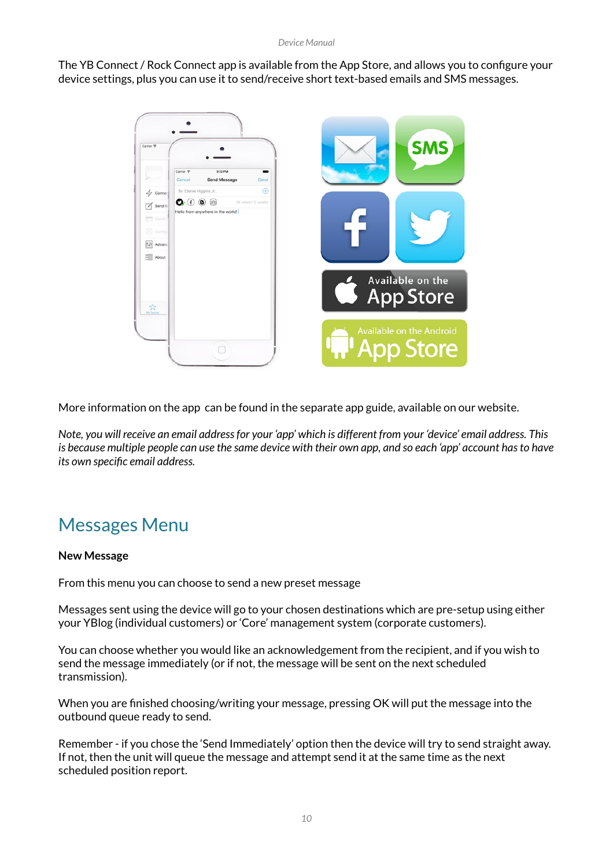The YB Connect / Rock Connect app is available from the App Store, and allows you to configure your device settings, plus you can use it to send/receive short text-based emails and SMS messages.



More information on the app can be found in the separate app guide, available on our website.

*Note, you will receive an email address for your 'app' which is different from your 'device' email address. This is because multiple people can use the same device with their own app, and so each 'app' account has to have its own specific email address.*

## Messages Menu

### **New Message**

From this menu you can choose to send a new preset message

Messages sent using the device will go to your chosen destinations which are pre-setup using either your YBlog (individual customers) or 'Core' management system (corporate customers).

You can choose whether you would like an acknowledgement from the recipient, and if you wish to send the message immediately (or if not, the message will be sent on the next scheduled transmission).

When you are finished choosing/writing your message, pressing OK will put the message into the outbound queue ready to send.

Remember - if you chose the 'Send Immediately' option then the device will try to send straight away. If not, then the unit will queue the message and attempt send it at the same time as the next scheduled position report.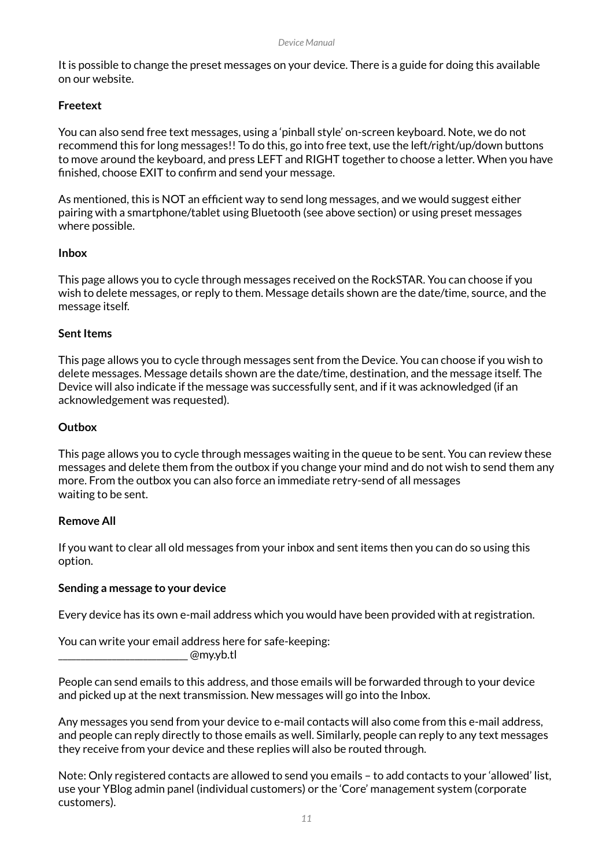It is possible to change the preset messages on your device. There is a guide for doing this available on our website.

### **Freetext**

You can also send free text messages, using a 'pinball style' on-screen keyboard. Note, we do not recommend this for long messages!! To do this, go into free text, use the left/right/up/down buttons to move around the keyboard, and press LEFT and RIGHT together to choose a letter. When you have finished, choose EXIT to confirm and send your message.

As mentioned, this is NOT an efficient way to send long messages, and we would suggest either pairing with a smartphone/tablet using Bluetooth (see above section) or using preset messages where possible.

### **Inbox**

This page allows you to cycle through messages received on the RockSTAR. You can choose if you wish to delete messages, or reply to them. Message details shown are the date/time, source, and the message itself.

### **Sent Items**

This page allows you to cycle through messages sent from the Device. You can choose if you wish to delete messages. Message details shown are the date/time, destination, and the message itself. The Device will also indicate if the message was successfully sent, and if it was acknowledged (if an acknowledgement was requested).

### **Outbox**

This page allows you to cycle through messages waiting in the queue to be sent. You can review these messages and delete them from the outbox if you change your mind and do not wish to send them any more. From the outbox you can also force an immediate retry-send of all messages waiting to be sent.

### **Remove All**

If you want to clear all old messages from your inbox and sent items then you can do so using this option.

#### **Sending a message to your device**

Every device has its own e-mail address which you would have been provided with at registration.

You can write your email address here for safe-keeping:

 $@$ my.yb.tl

People can send emails to this address, and those emails will be forwarded through to your device and picked up at the next transmission. New messages will go into the Inbox.

Any messages you send from your device to e-mail contacts will also come from this e-mail address, and people can reply directly to those emails as well. Similarly, people can reply to any text messages they receive from your device and these replies will also be routed through.

Note: Only registered contacts are allowed to send you emails – to add contacts to your 'allowed' list, use your YBlog admin panel (individual customers) or the 'Core' management system (corporate customers).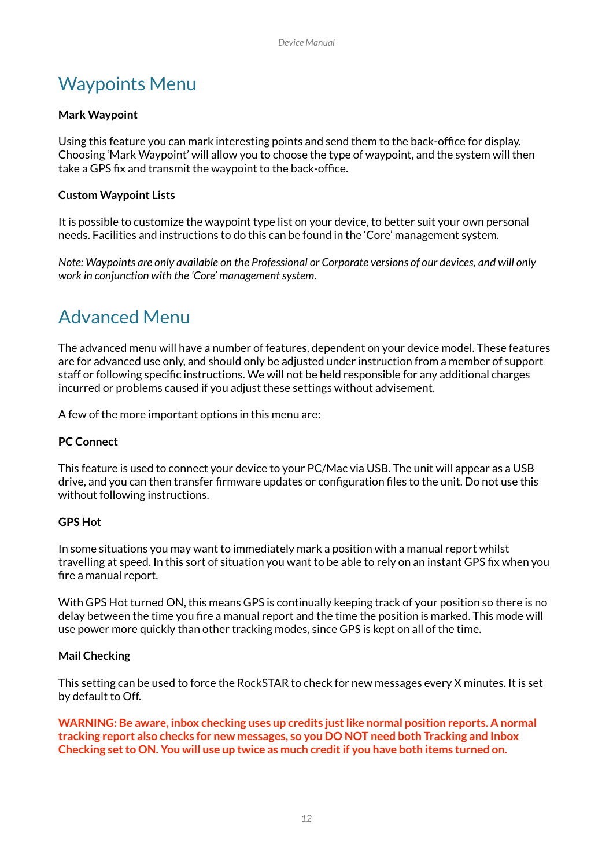## Waypoints Menu

### **Mark Waypoint**

Using this feature you can mark interesting points and send them to the back-office for display. Choosing 'Mark Waypoint' will allow you to choose the type of waypoint, and the system will then take a GPS fix and transmit the waypoint to the back-office.

### **Custom Waypoint Lists**

It is possible to customize the waypoint type list on your device, to better suit your own personal needs. Facilities and instructions to do this can be found in the 'Core' management system.

*Note: Waypoints are only available on the Professional or Corporate versions of our devices, and will only work in conjunction with the 'Core' management system.* 

### Advanced Menu

The advanced menu will have a number of features, dependent on your device model. These features are for advanced use only, and should only be adjusted under instruction from a member of support staff or following specific instructions. We will not be held responsible for any additional charges incurred or problems caused if you adjust these settings without advisement.

A few of the more important options in this menu are:

### **PC Connect**

This feature is used to connect your device to your PC/Mac via USB. The unit will appear as a USB drive, and you can then transfer firmware updates or configuration files to the unit. Do not use this without following instructions.

### **GPS Hot**

In some situations you may want to immediately mark a position with a manual report whilst travelling at speed. In this sort of situation you want to be able to rely on an instant GPS fix when you fire a manual report.

With GPS Hot turned ON, this means GPS is continually keeping track of your position so there is no delay between the time you fire a manual report and the time the position is marked. This mode will use power more quickly than other tracking modes, since GPS is kept on all of the time.

### **Mail Checking**

This setting can be used to force the RockSTAR to check for new messages every X minutes. It is set by default to Off.

**WARNING: Be aware, inbox checking uses up credits just like normal position reports. A normal tracking report also checks for new messages, so you DO NOT need both Tracking and Inbox Checking set to ON. You will use up twice as much credit if you have both items turned on.**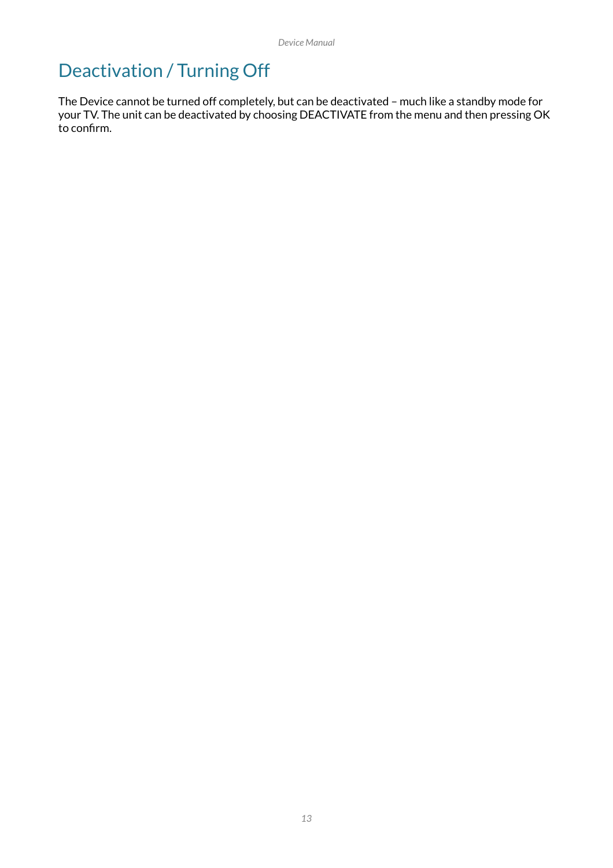# Deactivation / Turning Off

The Device cannot be turned off completely, but can be deactivated – much like a standby mode for your TV. The unit can be deactivated by choosing DEACTIVATE from the menu and then pressing OK to confirm.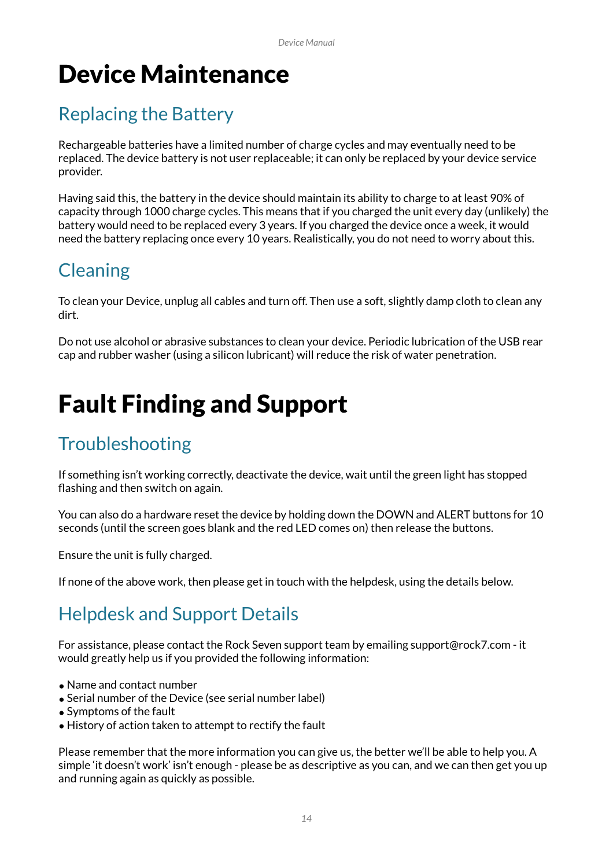# Device Maintenance

# Replacing the Battery

Rechargeable batteries have a limited number of charge cycles and may eventually need to be replaced. The device battery is not user replaceable; it can only be replaced by your device service provider.

Having said this, the battery in the device should maintain its ability to charge to at least 90% of capacity through 1000 charge cycles. This means that if you charged the unit every day (unlikely) the battery would need to be replaced every 3 years. If you charged the device once a week, it would need the battery replacing once every 10 years. Realistically, you do not need to worry about this.

# **Cleaning**

To clean your Device, unplug all cables and turn off. Then use a soft, slightly damp cloth to clean any dirt.

Do not use alcohol or abrasive substances to clean your device. Periodic lubrication of the USB rear cap and rubber washer (using a silicon lubricant) will reduce the risk of water penetration.

# Fault Finding and Support

## **Troubleshooting**

If something isn't working correctly, deactivate the device, wait until the green light has stopped flashing and then switch on again.

You can also do a hardware reset the device by holding down the DOWN and ALERT buttons for 10 seconds (until the screen goes blank and the red LED comes on) then release the buttons.

Ensure the unit is fully charged.

If none of the above work, then please get in touch with the helpdesk, using the details below.

# Helpdesk and Support Details

For assistance, please contact the Rock Seven support team by emailing support@rock7.com - it would greatly help us if you provided the following information:

- Name and contact number
- Serial number of the Device (see serial number label)
- Symptoms of the fault
- History of action taken to attempt to rectify the fault

Please remember that the more information you can give us, the better we'll be able to help you. A simple 'it doesn't work' isn't enough - please be as descriptive as you can, and we can then get you up and running again as quickly as possible.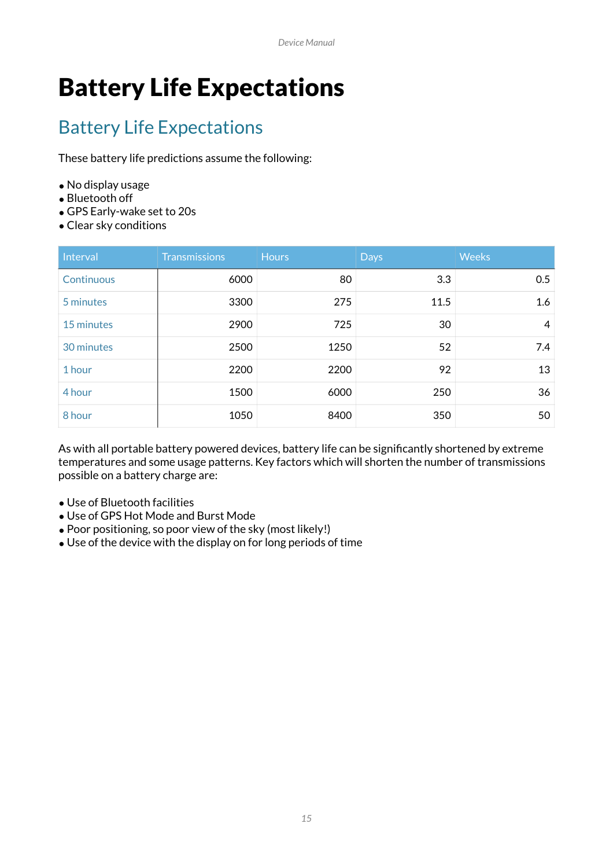# Battery Life Expectations

# Battery Life Expectations

These battery life predictions assume the following:

- No display usage
- Bluetooth off
- GPS Early-wake set to 20s
- •Clear sky conditions

| Interval   | <b>Transmissions</b> | <b>Hours</b> | <b>Days</b> | <b>Weeks</b> |
|------------|----------------------|--------------|-------------|--------------|
| Continuous | 6000                 | 80           | 3.3         | 0.5          |
| 5 minutes  | 3300                 | 275          | 11.5        | 1.6          |
| 15 minutes | 2900                 | 725          | 30          | 4            |
| 30 minutes | 2500                 | 1250         | 52          | 7.4          |
| 1 hour     | 2200                 | 2200         | 92          | 13           |
| 4 hour     | 1500                 | 6000         | 250         | 36           |
| 8 hour     | 1050                 | 8400         | 350         | 50           |

As with all portable battery powered devices, battery life can be significantly shortened by extreme temperatures and some usage patterns. Key factors which will shorten the number of transmissions possible on a battery charge are:

- Use of Bluetooth facilities
- Use of GPS Hot Mode and Burst Mode
- Poor positioning, so poor view of the sky (most likely!)
- Use of the device with the display on for long periods of time